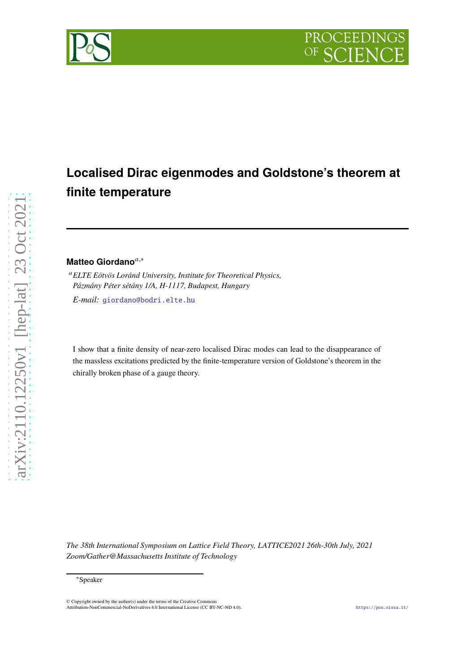

# **Localised Dirac eigenmodes and Goldstone's theorem at finite temperature**

# Matteo Giordano<sup>a,\*</sup>

<sup>𝑎</sup>*ELTE Eötvös Loránd University, Institute for Theoretical Physics, Pázmány Péter sétány 1/A, H-1117, Budapest, Hungary*

*E-mail:* [giordano@bodri.elte.hu](mailto:giordano@bodri.elte.hu)

I show that a finite density of near-zero localised Dirac modes can lead to the disappearance of the massless excitations predicted by the finite-temperature version of Goldstone's theorem in the chirally broken phase of a gauge theory.

*The 38th International Symposium on Lattice Field Theory, LATTICE2021 26th-30th July, 2021 Zoom/Gather@Massachusetts Institute of Technology*

<sup>∗</sup>Speaker

<sup>©</sup> Copyright owned by the author(s) under the terms of the Creative Commons Attribution-NonCommercial-NoDerivatives 4.0 International License (CC BY-NC-ND 4.0). <https://pos.sissa.it/>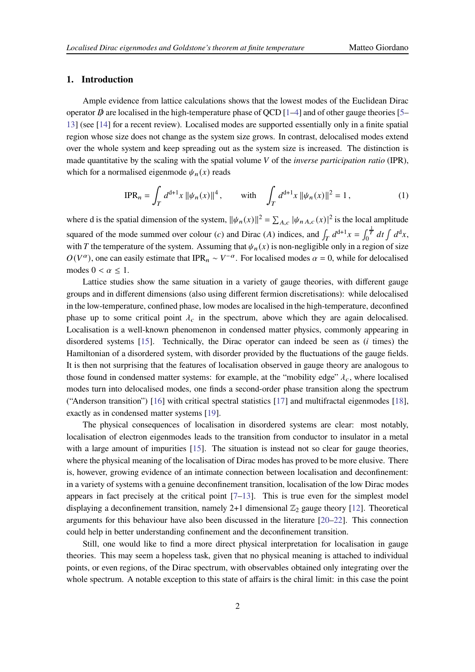# **1. Introduction**

Ample evidence from lattice calculations shows that the lowest modes of the Euclidean Dirac operator  $\vec{p}$  are localised in the high-temperature phase of QCD [\[1](#page-6-0)[–4](#page-6-1)] and of other gauge theories [\[5](#page-6-2)– [13](#page-7-0)] (see [\[14](#page-7-1)] for a recent review). Localised modes are supported essentially only in a finite spatial region whose size does not change as the system size grows. In contrast, delocalised modes extend over the whole system and keep spreading out as the system size is increased. The distinction is made quantitative by the scaling with the spatial volume V of the *inverse participation ratio* (IPR), which for a normalised eigenmode  $\psi_n(x)$  reads

$$
\text{IPR}_n = \int_T d^{d+1}x \, ||\psi_n(x)||^4 \,, \qquad \text{with} \quad \int_T d^{d+1}x \, ||\psi_n(x)||^2 = 1 \,, \tag{1}
$$

where d is the spatial dimension of the system,  $\|\psi_n(x)\|^2 = \sum_{A,c} |\psi_{n,A,c}(x)|^2$  is the local amplitude squared of the mode summed over colour (*c*) and Dirac (*A*) indices, and  $\int_T d^{d+1}x = \int_0^{\frac{1}{T}} dt \int d^d x$ , with T the temperature of the system. Assuming that  $\psi_n(x)$  is non-negligible only in a region of size  $O(V^{\alpha})$ , one can easily estimate that IPR<sub>n</sub> ~  $V^{-\alpha}$ . For localised modes  $\alpha = 0$ , while for delocalised modes  $0 < \alpha \leq 1$ .

Lattice studies show the same situation in a variety of gauge theories, with different gauge groups and in different dimensions (also using different fermion discretisations): while delocalised in the low-temperature, confined phase, low modes are localised in the high-temperature, deconfined phase up to some critical point  $\lambda_c$  in the spectrum, above which they are again delocalised. Localisation is a well-known phenomenon in condensed matter physics, commonly appearing in disordered systems [\[15](#page-7-2)]. Technically, the Dirac operator can indeed be seen as  $(i \times j)$  the Hamiltonian of a disordered system, with disorder provided by the fluctuations of the gauge fields. It is then not surprising that the features of localisation observed in gauge theory are analogous to those found in condensed matter systems: for example, at the "mobility edge"  $\lambda_c$ , where localised modes turn into delocalised modes, one finds a second-order phase transition along the spectrum ("Anderson transition") [\[16](#page-7-3)] with critical spectral statistics [\[17](#page-7-4)] and multifractal eigenmodes [\[18](#page-7-5)], exactly as in condensed matter systems [\[19](#page-7-6)].

The physical consequences of localisation in disordered systems are clear: most notably, localisation of electron eigenmodes leads to the transition from conductor to insulator in a metal with a large amount of impurities [\[15](#page-7-2)]. The situation is instead not so clear for gauge theories, where the physical meaning of the localisation of Dirac modes has proved to be more elusive. There is, however, growing evidence of an intimate connection between localisation and deconfinement: in a variety of systems with a genuine deconfinement transition, localisation of the low Dirac modes appears in fact precisely at the critical point  $[7-13]$ . This is true even for the simplest model displaying a deconfinement transition, namely 2+1 dimensional  $\mathbb{Z}_2$  gauge theory [\[12](#page-7-7)]. Theoretical arguments for this behaviour have also been discussed in the literature [\[20](#page-7-8)[–22](#page-7-9)]. This connection could help in better understanding confinement and the deconfinement transition.

Still, one would like to find a more direct physical interpretation for localisation in gauge theories. This may seem a hopeless task, given that no physical meaning is attached to individual points, or even regions, of the Dirac spectrum, with observables obtained only integrating over the whole spectrum. A notable exception to this state of affairs is the chiral limit: in this case the point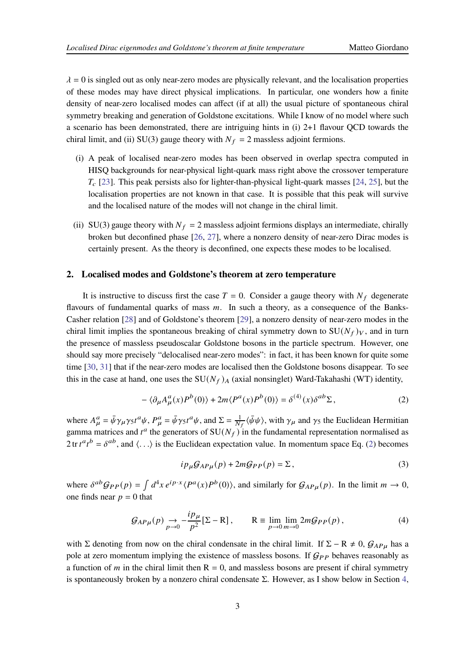$\lambda = 0$  is singled out as only near-zero modes are physically relevant, and the localisation properties of these modes may have direct physical implications. In particular, one wonders how a finite density of near-zero localised modes can affect (if at all) the usual picture of spontaneous chiral symmetry breaking and generation of Goldstone excitations. While I know of no model where such a scenario has been demonstrated, there are intriguing hints in (i) 2+1 flavour QCD towards the chiral limit, and (ii) SU(3) gauge theory with  $N_f = 2$  massless adjoint fermions.

- (i) A peak of localised near-zero modes has been observed in overlap spectra computed in HISQ backgrounds for near-physical light-quark mass right above the crossover temperature  $T_c$  [\[23](#page-7-10)]. This peak persists also for lighter-than-physical light-quark masses [\[24](#page-7-11), [25\]](#page-7-12), but the localisation properties are not known in that case. It is possible that this peak will survive and the localised nature of the modes will not change in the chiral limit.
- (ii) SU(3) gauge theory with  $N_f = 2$  massless adjoint fermions displays an intermediate, chirally broken but deconfined phase [\[26,](#page-7-13) [27](#page-7-14)], where a nonzero density of near-zero Dirac modes is certainly present. As the theory is deconfined, one expects these modes to be localised.

### **2. Localised modes and Goldstone's theorem at zero temperature**

It is instructive to discuss first the case  $T = 0$ . Consider a gauge theory with  $N_f$  degenerate flavours of fundamental quarks of mass  $m$ . In such a theory, as a consequence of the Banks-Casher relation [\[28](#page-7-15)] and of Goldstone's theorem [\[29](#page-7-16)], a nonzero density of near-zero modes in the chiral limit implies the spontaneous breaking of chiral symmetry down to  $SU(N_f)_V$ , and in turn the presence of massless pseudoscalar Goldstone bosons in the particle spectrum. However, one should say more precisely "delocalised near-zero modes": in fact, it has been known for quite some time [\[30,](#page-7-17) [31](#page-7-18)] that if the near-zero modes are localised then the Goldstone bosons disappear. To see this in the case at hand, one uses the  $SU(N_f)_A$  (axial nonsinglet) Ward-Takahashi (WT) identity,

<span id="page-2-0"></span>
$$
-\langle \partial_{\mu}A_{\mu}^{a}(x)P^{b}(0)\rangle + 2m\langle P^{a}(x)P^{b}(0)\rangle = \delta^{(4)}(x)\delta^{ab}\Sigma,
$$
\n(2)

where  $A^a_\mu = \bar{\psi} \gamma_\mu \gamma_5 t^a \psi$ ,  $P^a_\mu = \bar{\psi} \gamma_5 t^a \psi$ , and  $\Sigma = \frac{1}{N_f} \langle \bar{\psi} \psi \rangle$ , with  $\gamma_\mu$  and  $\gamma_5$  the Euclidean Hermitian gamma matrices and  $t^a$  the generators of  $SU(N_f)$  in the fundamental representation normalised as 2 tr  $t^a t^b = \delta^{ab}$ , and  $\langle \ldots \rangle$  is the Euclidean expectation value. In momentum space Eq. [\(2\)](#page-2-0) becomes

$$
ip_{\mu}G_{AP\mu}(p) + 2mG_{PP}(p) = \Sigma,
$$
\n(3)

where  $\delta^{ab}G_{PP}(p) = \int d^4x \, e^{ip \cdot x} \langle P^a(x) P^b(0) \rangle$ , and similarly for  $G_{AP\mu}(p)$ . In the limit  $m \to 0$ , one finds near  $p = 0$  that

$$
\mathcal{G}_{AP\mu}(p) \underset{p \to 0}{\to} -\frac{ip_{\mu}}{p^2} [\Sigma - \mathbf{R}], \qquad \mathbf{R} \equiv \lim_{p \to 0} \lim_{m \to 0} 2m \mathcal{G}_{PP}(p), \tag{4}
$$

with Σ denoting from now on the chiral condensate in the chiral limit. If Σ – R ≠ 0,  $G_{AP\mu}$  has a pole at zero momentum implying the existence of massless bosons. If  $G_{PP}$  behaves reasonably as a function of  $m$  in the chiral limit then  $R = 0$ , and massless bosons are present if chiral symmetry is spontaneously broken by a nonzero chiral condensate  $\Sigma$ . However, as I show below in Section [4,](#page-4-0)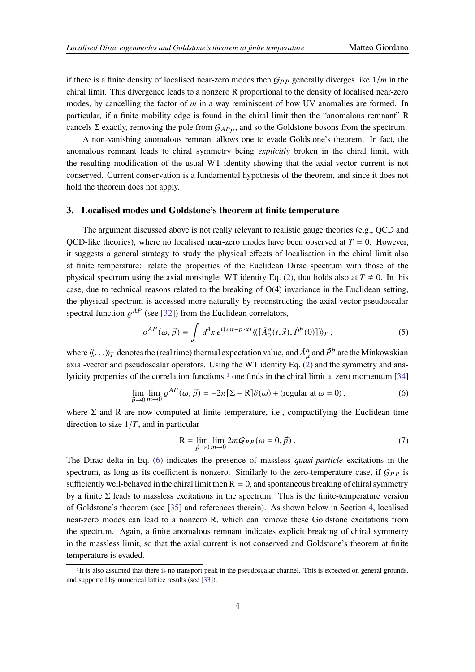if there is a finite density of localised near-zero modes then  $G_{PP}$  generally diverges like  $1/m$  in the chiral limit. This divergence leads to a nonzero R proportional to the density of localised near-zero modes, by cancelling the factor of  $m$  in a way reminiscent of how UV anomalies are formed. In particular, if a finite mobility edge is found in the chiral limit then the "anomalous remnant" R cancels Σ exactly, removing the pole from  $G_{AP\mu}$ , and so the Goldstone bosons from the spectrum.

A non-vanishing anomalous remnant allows one to evade Goldstone's theorem. In fact, the anomalous remnant leads to chiral symmetry being *explicitly* broken in the chiral limit, with the resulting modification of the usual WT identity showing that the axial-vector current is not conserved. Current conservation is a fundamental hypothesis of the theorem, and since it does not hold the theorem does not apply.

#### **3. Localised modes and Goldstone's theorem at finite temperature**

The argument discussed above is not really relevant to realistic gauge theories (e.g., QCD and OCD-like theories), where no localised near-zero modes have been observed at  $T = 0$ . However, it suggests a general strategy to study the physical effects of localisation in the chiral limit also at finite temperature: relate the properties of the Euclidean Dirac spectrum with those of the physical spectrum using the axial nonsinglet WT identity Eq. [\(2\)](#page-2-0), that holds also at  $T \neq 0$ . In this case, due to technical reasons related to the breaking of  $O(4)$  invariance in the Euclidean setting, the physical spectrum is accessed more naturally by reconstructing the axial-vector-pseudoscalar spectral function  $\rho^{AP}$  (see [\[32](#page-7-19)]) from the Euclidean correlators,

$$
\varrho^{AP}(\omega,\vec{p}) \equiv \int d^4x \, e^{i(\omega t - \vec{p}\cdot\vec{x})} \langle\langle [\hat{A}_0^a(t,\vec{x}), \hat{P}^b(0)] \rangle\rangle_T , \qquad (5)
$$

where  $\langle\!\langle\ldots\rangle\!\rangle_T$  denotes the (real time) thermal expectation value, and  $\hat A_\mu^a$  and  $\hat P^b$  are the Minkowskian axial-vector and pseudoscalar operators. Using the WT identity Eq. [\(2\)](#page-2-0) and the symmetry and ana-lyticity properties of the correlation functions,<sup>[1](#page-3-0)</sup> one finds in the chiral limit at zero momentum  $[34]$ 

<span id="page-3-1"></span>
$$
\lim_{\vec{p}\to 0} \lim_{m\to 0} \varrho^{AP}(\omega, \vec{p}) = -2\pi [\Sigma - \mathcal{R}]\delta(\omega) + (\text{regular at } \omega = 0),\tag{6}
$$

where  $\Sigma$  and R are now computed at finite temperature, i.e., compactifying the Euclidean time direction to size  $1/T$ , and in particular

$$
R = \lim_{\vec{p}\to 0} \lim_{m\to 0} 2mG_{PP}(\omega = 0, \vec{p}).
$$
\n(7)

The Dirac delta in Eq. [\(6\)](#page-3-1) indicates the presence of massless *quasi-particle* excitations in the spectrum, as long as its coefficient is nonzero. Similarly to the zero-temperature case, if  $G_{PP}$  is sufficiently well-behaved in the chiral limit then  $R = 0$ , and spontaneous breaking of chiral symmetry by a finite  $\Sigma$  leads to massless excitations in the spectrum. This is the finite-temperature version of Goldstone's theorem (see [\[35](#page-7-21)] and references therein). As shown below in Section [4,](#page-4-0) localised near-zero modes can lead to a nonzero R, which can remove these Goldstone excitations from the spectrum. Again, a finite anomalous remnant indicates explicit breaking of chiral symmetry in the massless limit, so that the axial current is not conserved and Goldstone's theorem at finite temperature is evaded.

<span id="page-3-0"></span><sup>&</sup>lt;sup>1</sup>It is also assumed that there is no transport peak in the pseudoscalar channel. This is expected on general grounds, and supported by numerical lattice results (see [\[33](#page-7-22)]).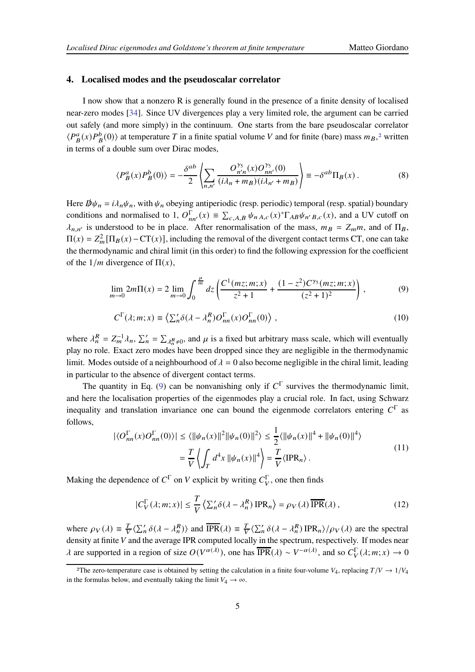#### <span id="page-4-0"></span>**4. Localised modes and the pseudoscalar correlator**

I now show that a nonzero R is generally found in the presence of a finite density of localised near-zero modes [\[34\]](#page-7-20). Since UV divergences play a very limited role, the argument can be carried out safely (and more simply) in the continuum. One starts from the bare pseudoscalar correlator  $\langle P^a_B(x)P^b_B(0)\rangle$  at temperature T in a finite spatial volume V and for finite (bare) mass  $m_B$ <sup>[2](#page-4-1)</sup>, written in terms of a double sum over Dirac modes,

$$
\langle P_B^a(x)P_B^b(0)\rangle = -\frac{\delta^{ab}}{2} \left\langle \sum_{n,n'} \frac{O_{n'n}^{\gamma_5}(x)O_{nn'}^{\gamma_5}(0)}{(i\lambda_n + m_B)(i\lambda_{n'} + m_B)} \right\rangle \equiv -\delta^{ab} \Pi_B(x) \,. \tag{8}
$$

Here  $\bar{\psi}\psi_n = i\lambda_n\psi_n$ , with  $\psi_n$  obeying antiperiodic (resp. periodic) temporal (resp. spatial) boundary conditions and normalised to 1,  $O_{nn'}^{\Gamma}(x) \equiv \sum_{c, A, B} \psi_{n} A_{c}(x)^{*} \Gamma_{AB} \psi_{n'B} C(x)$ , and a UV cutoff on  $\lambda_{n,n'}$  is understood to be in place. After renormalisation of the mass,  $m_B = Z_m m$ , and of  $\Pi_B$ ,  $\Pi(x) = Z_m^2[\Pi_B(x) - CT(x)]$ , including the removal of the divergent contact terms CT, one can take the thermodynamic and chiral limit (in this order) to find the following expression for the coefficient of the  $1/m$  divergence of  $\Pi(x)$ ,

$$
\lim_{m \to 0} 2m \Pi(x) = 2 \lim_{m \to 0} \int_0^{\frac{\mu}{m}} dz \left( \frac{C^1(mz; m; x)}{z^2 + 1} + \frac{(1 - z^2)C^{\gamma s}(mz; m; x)}{(z^2 + 1)^2} \right),
$$
(9)

<span id="page-4-2"></span>
$$
C^{\Gamma}(\lambda; m; x) \equiv \left\langle \sum_{n}^{\prime} \delta(\lambda - \lambda_{n}^{R}) O_{nn}^{\Gamma}(x) O_{nn}^{\Gamma}(0) \right\rangle, \qquad (10)
$$

where  $\lambda_n^R = Z_m^{-1} \lambda_n$ ,  $\sum_n' = \sum_{\lambda_n^R \neq 0}$ , and  $\mu$  is a fixed but arbitrary mass scale, which will eventually play no role. Exact zero modes have been dropped since they are negligible in the thermodynamic limit. Modes outside of a neighbourhood of  $\lambda = 0$  also become negligible in the chiral limit, leading in particular to the absence of divergent contact terms.

The quantity in Eq. [\(9\)](#page-4-2) can be nonvanishing only if  $C^{\Gamma}$  survives the thermodynamic limit, and here the localisation properties of the eigenmodes play a crucial role. In fact, using Schwarz inequality and translation invariance one can bound the eigenmode correlators entering  $C^{\Gamma}$  as follows,

$$
\begin{split} |\langle O_{nn}^{\Gamma}(x)O_{nn}^{\Gamma}(0)\rangle| &\leq \langle ||\psi_n(x)||^2 ||\psi_n(0)||^2 \rangle \leq \frac{1}{2} \langle ||\psi_n(x)||^4 + ||\psi_n(0)||^4 \rangle \\ &= \frac{T}{V} \left\langle \int_T d^4x \, ||\psi_n(x)||^4 \right\rangle = \frac{T}{V} \langle \text{IPR}_n \rangle \,. \end{split} \tag{11}
$$

Making the dependence of  $C^{\Gamma}$  on V explicit by writing  $C^{\Gamma}_V$  $_V^{\Gamma}$ , one then finds

$$
|C_V^{\Gamma}(\lambda; m; x)| \le \frac{T}{V} \left\langle \sum_{n=0}^{\infty} \delta(\lambda - \lambda_n^R) \text{IPR}_n \right\rangle = \rho_V(\lambda) \overline{\text{IPR}}(\lambda), \tag{12}
$$

where  $\rho_V(\lambda) \equiv \frac{T}{V} \langle \sum_n' \delta(\lambda - \lambda_n^R) \rangle$  and  $\overline{\text{IPR}}(\lambda) \equiv \frac{T}{V} \langle \sum_n' \delta(\lambda - \lambda_n^R) \text{IPR}_n \rangle / \rho_V(\lambda)$  are the spectral density at finite  $V$  and the average IPR computed locally in the spectrum, respectively. If modes near  $\lambda$  are supported in a region of size  $O(V^{\alpha(\lambda)})$ , one has  $\overline{\text{IPR}}(\lambda) \sim V^{-\alpha(\lambda)}$ , and so  $C_V^{\Gamma}$  $_V^{\text{T}}(\lambda; m; x) \to 0$ 

<span id="page-4-1"></span><sup>&</sup>lt;sup>2</sup>The zero-temperature case is obtained by setting the calculation in a finite four-volume  $V_4$ , replacing  $T/V \rightarrow 1/V_4$ in the formulas below, and eventually taking the limit  $V_4 \rightarrow \infty$ .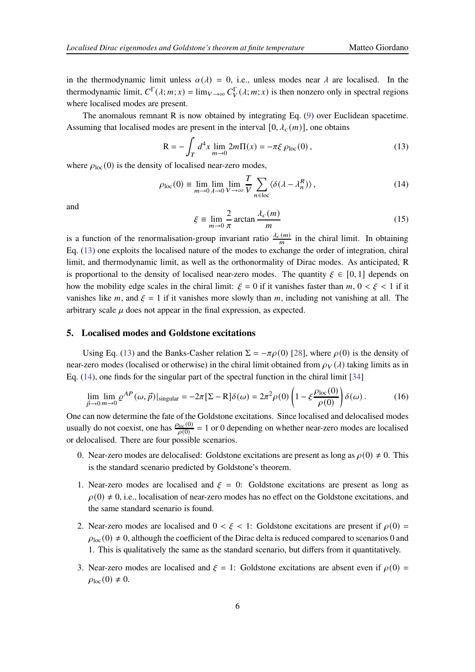in the thermodynamic limit unless  $\alpha(\lambda) = 0$ , i.e., unless modes near  $\lambda$  are localised. In the thermodynamic limit,  $C^{\Gamma}(\lambda; m; x) = \lim_{V \to \infty} C^{\Gamma}_V$  $_V^1(\lambda; m; x)$  is then nonzero only in spectral regions where localised modes are present.

The anomalous remnant R is now obtained by integrating Eq. [\(9\)](#page-4-2) over Euclidean spacetime. Assuming that localised modes are present in the interval  $[0, \lambda_c(m)]$ , one obtains

<span id="page-5-0"></span>
$$
R = -\int_{T} d^{4}x \lim_{m \to 0} 2m\Pi(x) = -\pi \xi \rho_{loc}(0), \qquad (13)
$$

where  $\rho_{\text{loc}}(0)$  is the density of localised near-zero modes,

<span id="page-5-1"></span>
$$
\rho_{\text{loc}}(0) \equiv \lim_{m \to 0} \lim_{\lambda \to 0} \lim_{V \to \infty} \frac{T}{V} \sum_{n \in \text{loc}} \langle \delta(\lambda - \lambda_n^R) \rangle, \qquad (14)
$$

and

$$
\xi = \lim_{m \to 0} \frac{2}{\pi} \arctan \frac{\lambda_c(m)}{m}
$$
 (15)

is a function of the renormalisation-group invariant ratio  $\frac{\lambda_c(m)}{m}$  in the chiral limit. In obtaining Eq. [\(13\)](#page-5-0) one exploits the localised nature of the modes to exchange the order of integration, chiral limit, and thermodynamic limit, as well as the orthonormality of Dirac modes. As anticipated, R is proportional to the density of localised near-zero modes. The quantity  $\xi \in [0, 1]$  depends on how the mobility edge scales in the chiral limit:  $\xi = 0$  if it vanishes faster than  $m, 0 \le \xi \le 1$  if it vanishes like  $m$ , and  $\xi = 1$  if it vanishes more slowly than  $m$ , including not vanishing at all. The arbitrary scale  $\mu$  does not appear in the final expression, as expected.

#### **5. Localised modes and Goldstone excitations**

Using Eq. [\(13\)](#page-5-0) and the Banks-Casher relation  $\Sigma = -\pi \rho(0)$  [\[28\]](#page-7-15), where  $\rho(0)$  is the density of near-zero modes (localised or otherwise) in the chiral limit obtained from  $\rho_V(\lambda)$  taking limits as in Eq. [\(14\)](#page-5-1), one finds for the singular part of the spectral function in the chiral limit [\[34](#page-7-20)]

$$
\lim_{\vec{p}\to 0} \lim_{m\to 0} \varrho^{AP}(\omega,\vec{p})|_{\text{singular}} = -2\pi \left[\Sigma - R\right]\delta(\omega) = 2\pi^2 \rho(0) \left(1 - \xi \frac{\rho_{\text{loc}}(0)}{\rho(0)}\right)\delta(\omega). \tag{16}
$$

One can now determine the fate of the Goldstone excitations. Since localised and delocalised modes usually do not coexist, one has  $\frac{\rho_{loc}(0)}{\rho(0)} = 1$  or 0 depending on whether near-zero modes are localised or delocalised. There are four possible scenarios.

- 0. Near-zero modes are delocalised: Goldstone excitations are present as long as  $\rho(0) \neq 0$ . This is the standard scenario predicted by Goldstone's theorem.
- 1. Near-zero modes are localised and  $\xi = 0$ : Goldstone excitations are present as long as  $\rho(0) \neq 0$ , i.e., localisation of near-zero modes has no effect on the Goldstone excitations, and the same standard scenario is found.
- 2. Near-zero modes are localised and  $0 < \xi < 1$ : Goldstone excitations are present if  $\rho(0)$  =  $\rho_{\text{loc}}(0) \neq 0$ , although the coefficient of the Dirac delta is reduced compared to scenarios 0 and 1. This is qualitatively the same as the standard scenario, but differs from it quantitatively.
- 3. Near-zero modes are localised and  $\xi = 1$ : Goldstone excitations are absent even if  $\rho(0) =$  $\rho_{\text{loc}}(0) \neq 0.$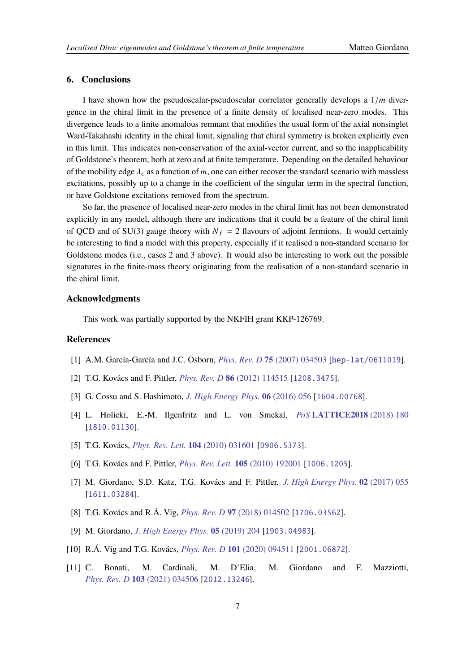# **6. Conclusions**

I have shown how the pseudoscalar-pseudoscalar correlator generally develops a  $1/m$  divergence in the chiral limit in the presence of a finite density of localised near-zero modes. This divergence leads to a finite anomalous remnant that modifies the usual form of the axial nonsinglet Ward-Takahashi identity in the chiral limit, signaling that chiral symmetry is broken explicitly even in this limit. This indicates non-conservation of the axial-vector current, and so the inapplicability of Goldstone's theorem, both at zero and at finite temperature. Depending on the detailed behaviour of the mobility edge  $\lambda_c$  as a function of m, one can either recover the standard scenario with massless excitations, possibly up to a change in the coefficient of the singular term in the spectral function, or have Goldstone excitations removed from the spectrum.

So far, the presence of localised near-zero modes in the chiral limit has not been demonstrated explicitly in any model, although there are indications that it could be a feature of the chiral limit of QCD and of SU(3) gauge theory with  $N_f = 2$  flavours of adjoint fermions. It would certainly be interesting to find a model with this property, especially if it realised a non-standard scenario for Goldstone modes (i.e., cases 2 and 3 above). It would also be interesting to work out the possible signatures in the finite-mass theory originating from the realisation of a non-standard scenario in the chiral limit.

# **Acknowledgments**

This work was partially supported by the NKFIH grant KKP-126769.

# **References**

- <span id="page-6-0"></span>[1] A.M. García-García and J.C. Osborn, *Phys. Rev. D* **75** [\(2007\) 034503](https://doi.org/10.1103/PhysRevD.75.034503) [[hep-lat/0611019](https://arxiv.org/abs/hep-lat/0611019)].
- [2] T.G. Kovács and F. Pittler, *Phys. Rev. D* **86** [\(2012\) 114515](https://doi.org/10.1103/PhysRevD.86.114515) [[1208.3475](https://arxiv.org/abs/1208.3475)].
- [3] G. Cossu and S. Hashimoto, *[J. High Energy Phys.](https://doi.org/10.1007/JHEP06(2016)056)* **06** (2016) 056 [[1604.00768](https://arxiv.org/abs/1604.00768)].
- <span id="page-6-1"></span>[4] L. Holicki, E.-M. Ilgenfritz and L. von Smekal, *PoS* **[LATTICE2018](https://doi.org/10.22323/1.334.0180)** (2018) 180 [[1810.01130](https://arxiv.org/abs/1810.01130)].
- <span id="page-6-2"></span>[5] T.G. Kovács, *[Phys. Rev. Lett.](https://doi.org/10.1103/PhysRevLett.104.031601)* **104** (2010) 031601 [[0906.5373](https://arxiv.org/abs/0906.5373)].
- [6] T.G. Kovács and F. Pittler, *[Phys. Rev. Lett.](https://doi.org/10.1103/PhysRevLett.105.192001)* **105** (2010) 192001 [[1006.1205](https://arxiv.org/abs/1006.1205)].
- <span id="page-6-3"></span>[7] M. Giordano, S.D. Katz, T.G. Kovács and F. Pittler, *[J. High Energy Phys.](https://doi.org/10.1007/JHEP02(2017)055)* **02** (2017) 055 [[1611.03284](https://arxiv.org/abs/1611.03284)].
- [8] T.G. Kovács and R.Á. Vig, *Phys. Rev. D* **97** [\(2018\) 014502](https://doi.org/10.1103/PhysRevD.97.014502) [[1706.03562](https://arxiv.org/abs/1706.03562)].
- [9] M. Giordano, *[J. High Energy Phys.](https://doi.org/10.1007/JHEP05(2019)204)* **05** (2019) 204 [[1903.04983](https://arxiv.org/abs/1903.04983)].
- [10] R.Á. Vig and T.G. Kovács, *Phys. Rev. D* **101** [\(2020\) 094511](https://doi.org/10.1103/PhysRevD.101.094511) [[2001.06872](https://arxiv.org/abs/2001.06872)].
- [11] C. Bonati, M. Cardinali, M. D'Elia, M. Giordano and F. Mazziotti, *Phys. Rev. D* **103** [\(2021\) 034506](https://doi.org/10.1103/PhysRevD.103.034506) [[2012.13246](https://arxiv.org/abs/2012.13246)].